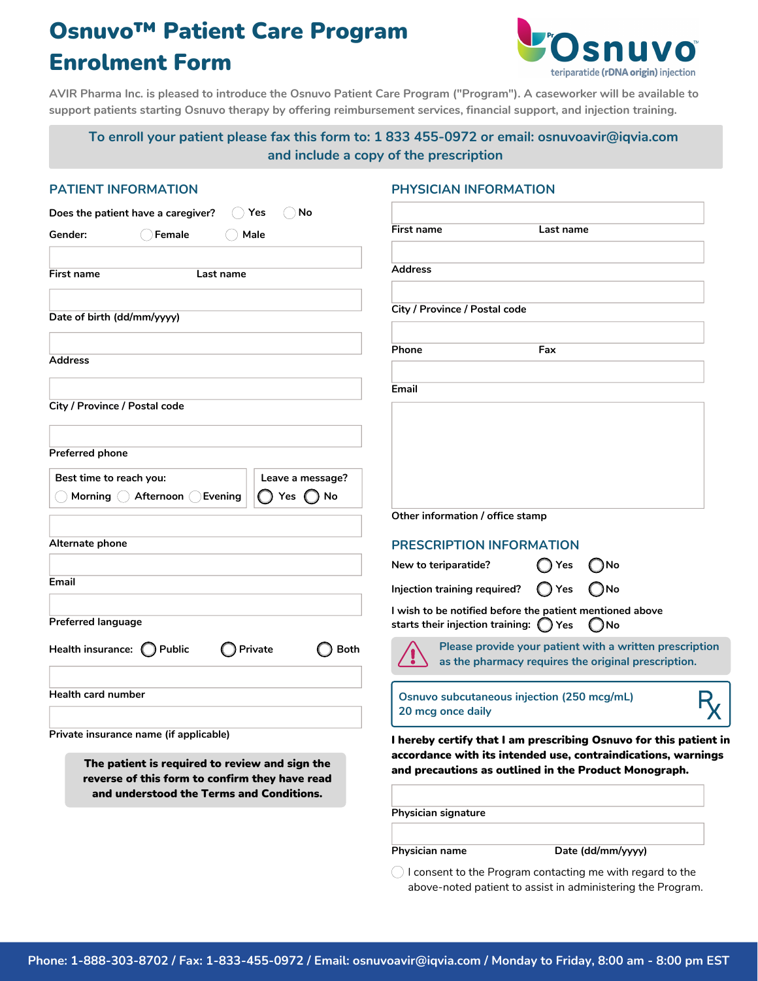# Osnuvo™ Patient Care Program Enrolment Form



AVIR Pharma Inc. is pleased to introduce the Osnuvo Patient Care Program ("Program"). A caseworker will be available to **support patients starting Osnuvo therapy by offering reimbursement services, financial support, and injection training.**

## **To enroll your patient please fax this form to: 1 833 455-0972 or email: osnuvoavir@iqvia.com and include a copy of the prescription**

#### **PATIENT INFORMATION PHYSICIAN INFORMATION**

| <b>Gender:</b><br>Female                                                                                                                     | Male                   | <b>First name</b>                                               | Last name                                                                                                              |
|----------------------------------------------------------------------------------------------------------------------------------------------|------------------------|-----------------------------------------------------------------|------------------------------------------------------------------------------------------------------------------------|
|                                                                                                                                              |                        |                                                                 |                                                                                                                        |
| First name<br>Last name                                                                                                                      |                        | <b>Address</b>                                                  |                                                                                                                        |
|                                                                                                                                              |                        | City / Province / Postal code                                   |                                                                                                                        |
| Date of birth (dd/mm/yyyy)                                                                                                                   |                        |                                                                 |                                                                                                                        |
| Address                                                                                                                                      |                        | Phone                                                           | Fax                                                                                                                    |
|                                                                                                                                              |                        | Email                                                           |                                                                                                                        |
| City / Province / Postal code                                                                                                                |                        |                                                                 |                                                                                                                        |
| Preferred phone                                                                                                                              |                        |                                                                 |                                                                                                                        |
| Best time to reach you:                                                                                                                      | Leave a message?       |                                                                 |                                                                                                                        |
| Morning<br>Afternoon<br>Evening                                                                                                              | No<br>Yes.             |                                                                 |                                                                                                                        |
|                                                                                                                                              |                        | Other information / office stamp                                |                                                                                                                        |
| Alternate phone                                                                                                                              |                        | <b>PRESCRIPTION INFORMATION</b>                                 |                                                                                                                        |
|                                                                                                                                              |                        | New to teriparatide?                                            | Yes<br><b>JNo</b>                                                                                                      |
| Email                                                                                                                                        |                        | Injection training required?                                    | ( )No<br>( ) Yes                                                                                                       |
| <b>Preferred language</b>                                                                                                                    |                        | starts their injection training: $\bigcirc$                     | I wish to be notified before the patient mentioned above<br>Yes<br>$\bigcap$ No                                        |
| Health insurance: ( ) Public                                                                                                                 | <b>Both</b><br>Private |                                                                 | Please provide your patient with a written prescription<br>as the pharmacy requires the original prescription.         |
| <b>Health card number</b>                                                                                                                    |                        | Osnuvo subcutaneous injection (250 mcg/mL)<br>20 mcg once daily |                                                                                                                        |
| Private insurance name (if applicable)                                                                                                       |                        |                                                                 | I hereby certify that I am prescribing Osnuvo for this patient in                                                      |
| The patient is required to review and sign the<br>reverse of this form to confirm they have read<br>and understood the Terms and Conditions. |                        |                                                                 | accordance with its intended use, contraindications, warnings<br>and precautions as outlined in the Product Monograph. |
|                                                                                                                                              |                        | <b>Physician signature</b>                                      |                                                                                                                        |
|                                                                                                                                              |                        | Physician name                                                  | Date (dd/mm/yyyy)                                                                                                      |
|                                                                                                                                              |                        |                                                                 | $\bigcirc$ I consent to the Program contacting me with regard to the                                                   |

above-noted patient to assist in administering the Program.